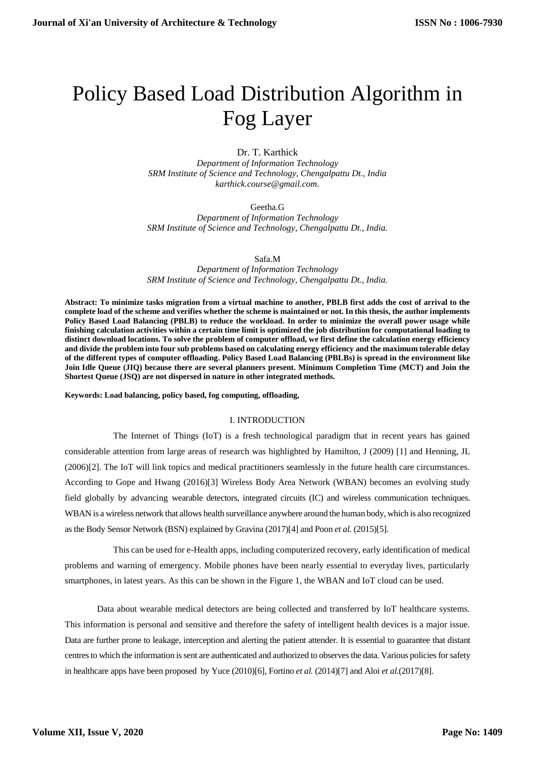# Policy Based Load Distribution Algorithm in Fog Layer

Dr. T. Karthick

*Department of Information Technology SRM Institute of Science and Technology, Chengalpattu Dt., India karthick.course@gmail.com.* 

Geetha.G

*Department of Information Technology SRM Institute of Science and Technology, Chengalpattu Dt., India.*

Safa.M

*Department of Information Technology SRM Institute of Science and Technology, Chengalpattu Dt., India.*

**Abstract: To minimize tasks migration from a virtual machine to another, PBLB first adds the cost of arrival to the complete load of the scheme and verifies whether the scheme is maintained or not. In this thesis, the author implements Policy Based Load Balancing (PBLB) to reduce the workload. In order to minimize the overall power usage while finishing calculation activities within a certain time limit is optimized the job distribution for computational loading to distinct download locations. To solve the problem of computer offload, we first define the calculation energy efficiency and divide the problem into four sub problems based on calculating energy efficiency and the maximum tolerable delay of the different types of computer offloading. Policy Based Load Balancing (PBLBs) is spread in the environment like Join Idle Queue (JIQ) because there are several planners present. Minimum Completion Time (MCT) and Join the Shortest Queue (JSQ) are not dispersed in nature in other integrated methods.**

**Keywords: Load balancing, policy based, fog computing, offloading,**

#### I. INTRODUCTION

The Internet of Things (IoT) is a fresh technological paradigm that in recent years has gained considerable attention from large areas of research was highlighted by Hamilton, J (2009) [1] and Henning, JL (2006)[2]. The IoT will link topics and medical practitioners seamlessly in the future health care circumstances. According to Gope and Hwang (2016)[3] Wireless Body Area Network (WBAN) becomes an evolving study field globally by advancing wearable detectors, integrated circuits (IC) and wireless communication techniques. WBAN is a wireless network that allows health surveillance anywhere around the human body, which is also recognized as the Body Sensor Network (BSN) explained by Gravina (2017)[4] and Poon *et al.* (2015)[5].

This can be used for e-Health apps, including computerized recovery, early identification of medical problems and warning of emergency. Mobile phones have been nearly essential to everyday lives, particularly smartphones, in latest years. As this can be shown in the Figure 1, the WBAN and IoT cloud can be used.

Data about wearable medical detectors are being collected and transferred by IoT healthcare systems. This information is personal and sensitive and therefore the safety of intelligent health devices is a major issue. Data are further prone to leakage, interception and alerting the patient attender. It is essential to guarantee that distant centres to which the information is sent are authenticated and authorized to observes the data. Various policies for safety in healthcare apps have been proposed by Yuce (2010)[6], Fortino *et al.* (2014)[7] and Aloi *et al.*(2017)[8].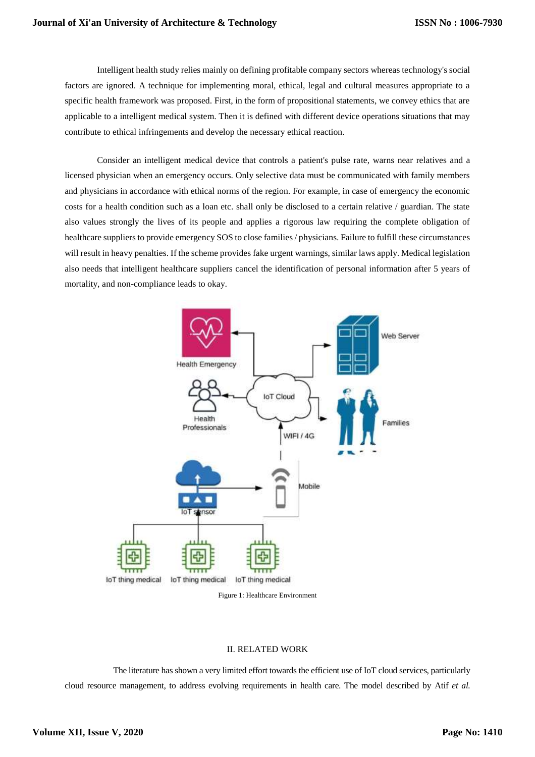Intelligent health study relies mainly on defining profitable company sectors whereas technology's social factors are ignored. A technique for implementing moral, ethical, legal and cultural measures appropriate to a specific health framework was proposed. First, in the form of propositional statements, we convey ethics that are applicable to a intelligent medical system. Then it is defined with different device operations situations that may contribute to ethical infringements and develop the necessary ethical reaction.

Consider an intelligent medical device that controls a patient's pulse rate, warns near relatives and a licensed physician when an emergency occurs. Only selective data must be communicated with family members and physicians in accordance with ethical norms of the region. For example, in case of emergency the economic costs for a health condition such as a loan etc. shall only be disclosed to a certain relative / guardian. The state also values strongly the lives of its people and applies a rigorous law requiring the complete obligation of healthcare suppliers to provide emergency SOS to close families / physicians. Failure to fulfill these circumstances will result in heavy penalties. If the scheme provides fake urgent warnings, similar laws apply. Medical legislation also needs that intelligent healthcare suppliers cancel the identification of personal information after 5 years of mortality, and non-compliance leads to okay.



Figure 1: Healthcare Environment

## II. RELATED WORK

The literature has shown a very limited effort towards the efficient use of IoT cloud services, particularly cloud resource management, to address evolving requirements in health care. The model described by Atif *et al.*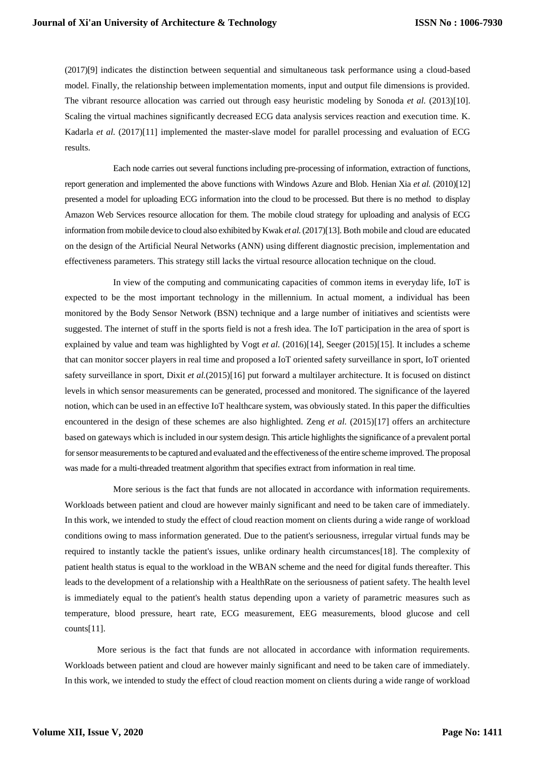(2017)[9] indicates the distinction between sequential and simultaneous task performance using a cloud-based model. Finally, the relationship between implementation moments, input and output file dimensions is provided. The vibrant resource allocation was carried out through easy heuristic modeling by Sonoda *et al.* (2013)[10]. Scaling the virtual machines significantly decreased ECG data analysis services reaction and execution time. K. Kadarla et al. (2017)[11] implemented the master-slave model for parallel processing and evaluation of ECG results.

Each node carries out several functions including pre-processing of information, extraction of functions, report generation and implemented the above functions with Windows Azure and Blob. Henian Xia *et al.* (2010)[12] presented a model for uploading ECG information into the cloud to be processed. But there is no method to display Amazon Web Services resource allocation for them. The mobile cloud strategy for uploading and analysis of ECG information from mobile device to cloud also exhibited by Kwak *et al.* (2017)[13]. Both mobile and cloud are educated on the design of the Artificial Neural Networks (ANN) using different diagnostic precision, implementation and effectiveness parameters. This strategy still lacks the virtual resource allocation technique on the cloud.

In view of the computing and communicating capacities of common items in everyday life, IoT is expected to be the most important technology in the millennium. In actual moment, a individual has been monitored by the Body Sensor Network (BSN) technique and a large number of initiatives and scientists were suggested. The internet of stuff in the sports field is not a fresh idea. The IoT participation in the area of sport is explained by value and team was highlighted by Vogt *et al.* (2016)[14], Seeger (2015)[15]. It includes a scheme that can monitor soccer players in real time and proposed a IoT oriented safety surveillance in sport, IoT oriented safety surveillance in sport, Dixit *et al.*(2015)[16] put forward a multilayer architecture. It is focused on distinct levels in which sensor measurements can be generated, processed and monitored. The significance of the layered notion, which can be used in an effective IoT healthcare system, was obviously stated. In this paper the difficulties encountered in the design of these schemes are also highlighted. Zeng *et al.* (2015)[17] offers an architecture based on gateways which is included in our system design. This article highlights the significance of a prevalent portal for sensor measurements to be captured and evaluated and the effectiveness of the entire scheme improved. The proposal was made for a multi-threaded treatment algorithm that specifies extract from information in real time.

More serious is the fact that funds are not allocated in accordance with information requirements. Workloads between patient and cloud are however mainly significant and need to be taken care of immediately. In this work, we intended to study the effect of cloud reaction moment on clients during a wide range of workload conditions owing to mass information generated. Due to the patient's seriousness, irregular virtual funds may be required to instantly tackle the patient's issues, unlike ordinary health circumstances[18]. The complexity of patient health status is equal to the workload in the WBAN scheme and the need for digital funds thereafter. This leads to the development of a relationship with a HealthRate on the seriousness of patient safety. The health level is immediately equal to the patient's health status depending upon a variety of parametric measures such as temperature, blood pressure, heart rate, ECG measurement, EEG measurements, blood glucose and cell counts[11].

More serious is the fact that funds are not allocated in accordance with information requirements. Workloads between patient and cloud are however mainly significant and need to be taken care of immediately. In this work, we intended to study the effect of cloud reaction moment on clients during a wide range of workload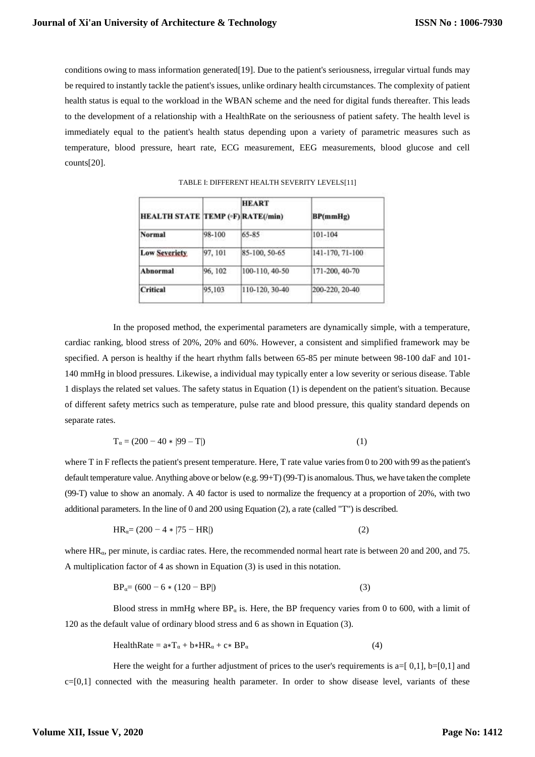conditions owing to mass information generated[19]. Due to the patient's seriousness, irregular virtual funds may be required to instantly tackle the patient's issues, unlike ordinary health circumstances. The complexity of patient health status is equal to the workload in the WBAN scheme and the need for digital funds thereafter. This leads to the development of a relationship with a HealthRate on the seriousness of patient safety. The health level is immediately equal to the patient's health status depending upon a variety of parametric measures such as temperature, blood pressure, heart rate, ECG measurement, EEG measurements, blood glucose and cell counts[20].

| <b>HEALTH STATE TEMP (*F) RATE(/min)</b> |         | <b>HEART</b>   | BP(mmHg)        |
|------------------------------------------|---------|----------------|-----------------|
| <b>Normal</b>                            | 98-100  | 65-85          | 101-104         |
| <b>Low Severiety</b>                     | 97, 101 | 85-100, 50-65  | 141-170, 71-100 |
| <b>Abnormal</b>                          | 96, 102 | 100-110, 40-50 | 171-200, 40-70  |
| <b>Critical</b>                          | 95,103  | 110-120, 30-40 | 200-220, 20-40  |

TABLE I: DIFFERENT HEALTH SEVERITY LEVELS[11]

In the proposed method, the experimental parameters are dynamically simple, with a temperature, cardiac ranking, blood stress of 20%, 20% and 60%. However, a consistent and simplified framework may be specified. A person is healthy if the heart rhythm falls between 65-85 per minute between 98-100 daF and 101- 140 mmHg in blood pressures. Likewise, a individual may typically enter a low severity or serious disease. Table 1 displays the related set values. The safety status in Equation (1) is dependent on the patient's situation. Because of different safety metrics such as temperature, pulse rate and blood pressure, this quality standard depends on separate rates.

$$
T_{\alpha} = (200 - 40 * |99 - T|)
$$
 (1)

where T in F reflects the patient's present temperature. Here, T rate value varies from 0 to 200 with 99 as the patient's default temperature value. Anything above or below (e.g. 99+T) (99-T) is anomalous. Thus, we have taken the complete (99-T) value to show an anomaly. A 40 factor is used to normalize the frequency at a proportion of 20%, with two additional parameters. In the line of 0 and 200 using Equation (2), a rate (called "T") is described.

$$
HR_{\alpha} = (200 - 4 \times |75 - HR|)
$$
 (2)

where HRα, per minute, is cardiac rates. Here, the recommended normal heart rate is between 20 and 200, and 75. A multiplication factor of 4 as shown in Equation (3) is used in this notation.

$$
BP_{\alpha} = (600 - 6 * (120 - BP))
$$
 (3)

Blood stress in mmHg where  $BP_\alpha$  is. Here, the BP frequency varies from 0 to 600, with a limit of 120 as the default value of ordinary blood stress and 6 as shown in Equation (3).

$$
HealthRate = a*T\alpha + b*HR\alpha + c*BP\alpha
$$
 (4)

Here the weight for a further adjustment of prices to the user's requirements is  $a=[0,1]$ ,  $b=[0,1]$  and  $c=[0,1]$  connected with the measuring health parameter. In order to show disease level, variants of these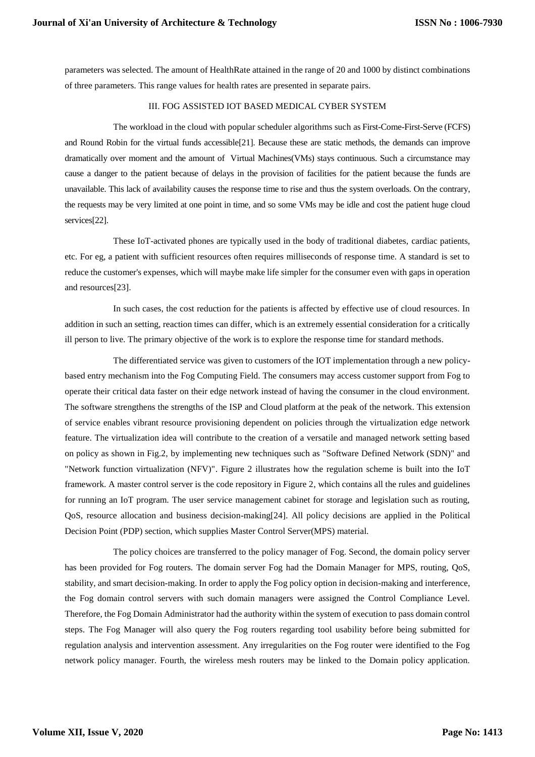parameters was selected. The amount of HealthRate attained in the range of 20 and 1000 by distinct combinations of three parameters. This range values for health rates are presented in separate pairs.

# III. FOG ASSISTED IOT BASED MEDICAL CYBER SYSTEM

The workload in the cloud with popular scheduler algorithms such as First-Come-First-Serve (FCFS) and Round Robin for the virtual funds accessible[21]. Because these are static methods, the demands can improve dramatically over moment and the amount of Virtual Machines(VMs) stays continuous. Such a circumstance may cause a danger to the patient because of delays in the provision of facilities for the patient because the funds are unavailable. This lack of availability causes the response time to rise and thus the system overloads. On the contrary, the requests may be very limited at one point in time, and so some VMs may be idle and cost the patient huge cloud services[22].

These IoT-activated phones are typically used in the body of traditional diabetes, cardiac patients, etc. For eg, a patient with sufficient resources often requires milliseconds of response time. A standard is set to reduce the customer's expenses, which will maybe make life simpler for the consumer even with gaps in operation and resources[23].

In such cases, the cost reduction for the patients is affected by effective use of cloud resources. In addition in such an setting, reaction times can differ, which is an extremely essential consideration for a critically ill person to live. The primary objective of the work is to explore the response time for standard methods.

The differentiated service was given to customers of the IOT implementation through a new policybased entry mechanism into the Fog Computing Field. The consumers may access customer support from Fog to operate their critical data faster on their edge network instead of having the consumer in the cloud environment. The software strengthens the strengths of the ISP and Cloud platform at the peak of the network. This extension of service enables vibrant resource provisioning dependent on policies through the virtualization edge network feature. The virtualization idea will contribute to the creation of a versatile and managed network setting based on policy as shown in Fig.2, by implementing new techniques such as "Software Defined Network (SDN)" and "Network function virtualization (NFV)". Figure 2 illustrates how the regulation scheme is built into the IoT framework. A master control server is the code repository in Figure 2, which contains all the rules and guidelines for running an IoT program. The user service management cabinet for storage and legislation such as routing, QoS, resource allocation and business decision-making[24]. All policy decisions are applied in the Political Decision Point (PDP) section, which supplies Master Control Server(MPS) material.

The policy choices are transferred to the policy manager of Fog. Second, the domain policy server has been provided for Fog routers. The domain server Fog had the Domain Manager for MPS, routing, QoS, stability, and smart decision-making. In order to apply the Fog policy option in decision-making and interference, the Fog domain control servers with such domain managers were assigned the Control Compliance Level. Therefore, the Fog Domain Administrator had the authority within the system of execution to pass domain control steps. The Fog Manager will also query the Fog routers regarding tool usability before being submitted for regulation analysis and intervention assessment. Any irregularities on the Fog router were identified to the Fog network policy manager. Fourth, the wireless mesh routers may be linked to the Domain policy application.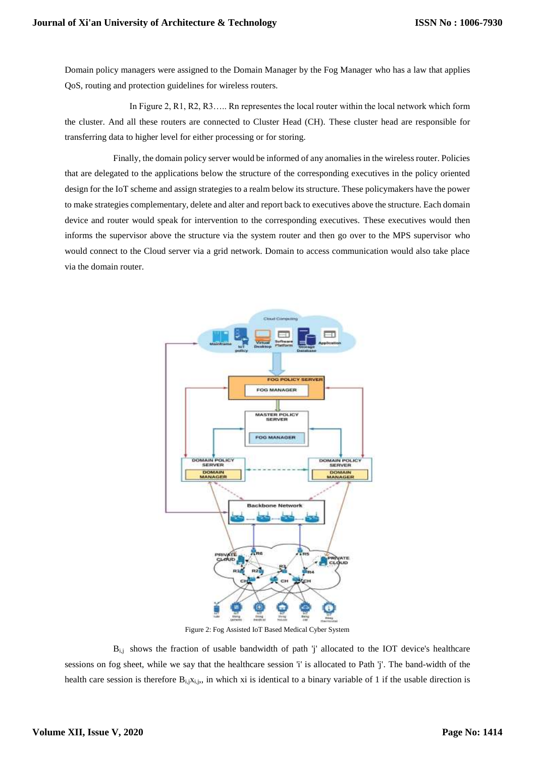Domain policy managers were assigned to the Domain Manager by the Fog Manager who has a law that applies QoS, routing and protection guidelines for wireless routers.

In Figure 2, R1, R2, R3….. Rn representes the local router within the local network which form the cluster. And all these routers are connected to Cluster Head (CH). These cluster head are responsible for transferring data to higher level for either processing or for storing.

Finally, the domain policy server would be informed of any anomalies in the wireless router. Policies that are delegated to the applications below the structure of the corresponding executives in the policy oriented design for the IoT scheme and assign strategies to a realm below its structure. These policymakers have the power to make strategies complementary, delete and alter and report back to executives above the structure. Each domain device and router would speak for intervention to the corresponding executives. These executives would then informs the supervisor above the structure via the system router and then go over to the MPS supervisor who would connect to the Cloud server via a grid network. Domain to access communication would also take place via the domain router.



Figure 2: Fog Assisted IoT Based Medical Cyber System

Bi,j shows the fraction of usable bandwidth of path 'j' allocated to the IOT device's healthcare sessions on fog sheet, while we say that the healthcare session 'i' is allocated to Path 'j'. The band-width of the health care session is therefore  $B_{i,j}x_{i,j}$ , in which xi is identical to a binary variable of 1 if the usable direction is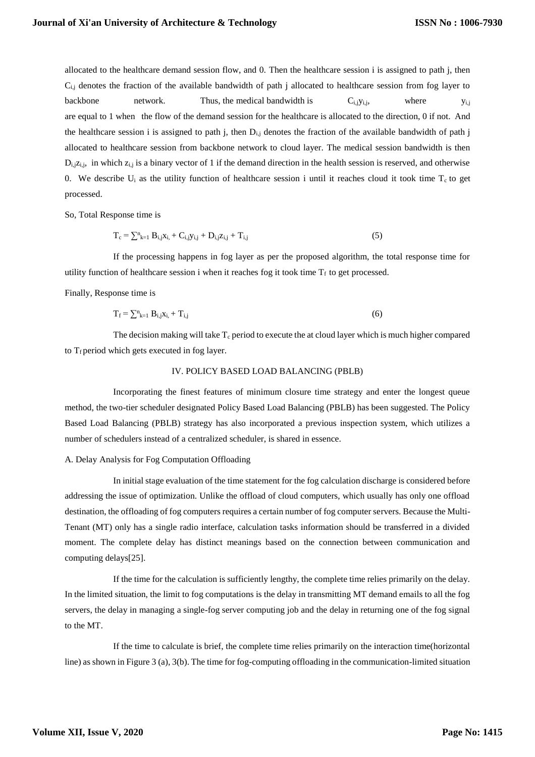allocated to the healthcare demand session flow, and 0. Then the healthcare session i is assigned to path j, then  $C_{i,j}$  denotes the fraction of the available bandwidth of path j allocated to healthcare session from fog layer to backbone network. Thus, the medical bandwidth is  $C_{i,j}y_{i,j}$ , where  $y_{i,j}$ are equal to 1 when the flow of the demand session for the healthcare is allocated to the direction, 0 if not. And the healthcare session i is assigned to path j, then  $D_{i,j}$  denotes the fraction of the available bandwidth of path j allocated to healthcare session from backbone network to cloud layer. The medical session bandwidth is then  $D_{i,j}z_{i,j}$ , in which  $z_{i,j}$  is a binary vector of 1 if the demand direction in the health session is reserved, and otherwise 0. We describe  $U_i$  as the utility function of healthcare session i until it reaches cloud it took time  $T_c$  to get processed.

So, Total Response time is

$$
T_c = \sum_{k=1}^{n} B_{i,j} x_{i,} + C_{i,j} y_{i,j} + D_{i,j} z_{i,j} + T_{i,j}
$$
 (5)

If the processing happens in fog layer as per the proposed algorithm, the total response time for utility function of healthcare session i when it reaches fog it took time  $T_f$  to get processed.

Finally, Response time is

$$
T_f = \sum_{k=1}^{n} B_{i,j} x_{i} + T_{i,j}
$$
 (6)

The decision making will take  $T_c$  period to execute the at cloud layer which is much higher compared to  $T_f$  period which gets executed in fog layer.

## IV. POLICY BASED LOAD BALANCING (PBLB)

Incorporating the finest features of minimum closure time strategy and enter the longest queue method, the two-tier scheduler designated Policy Based Load Balancing (PBLB) has been suggested. The Policy Based Load Balancing (PBLB) strategy has also incorporated a previous inspection system, which utilizes a number of schedulers instead of a centralized scheduler, is shared in essence.

#### A. Delay Analysis for Fog Computation Offloading

In initial stage evaluation of the time statement for the fog calculation discharge is considered before addressing the issue of optimization. Unlike the offload of cloud computers, which usually has only one offload destination, the offloading of fog computers requires a certain number of fog computer servers. Because the Multi-Tenant (MT) only has a single radio interface, calculation tasks information should be transferred in a divided moment. The complete delay has distinct meanings based on the connection between communication and computing delays[25].

If the time for the calculation is sufficiently lengthy, the complete time relies primarily on the delay. In the limited situation, the limit to fog computations is the delay in transmitting MT demand emails to all the fog servers, the delay in managing a single-fog server computing job and the delay in returning one of the fog signal to the MT.

If the time to calculate is brief, the complete time relies primarily on the interaction time(horizontal line) as shown in Figure 3 (a), 3(b). The time for fog-computing offloading in the communication-limited situation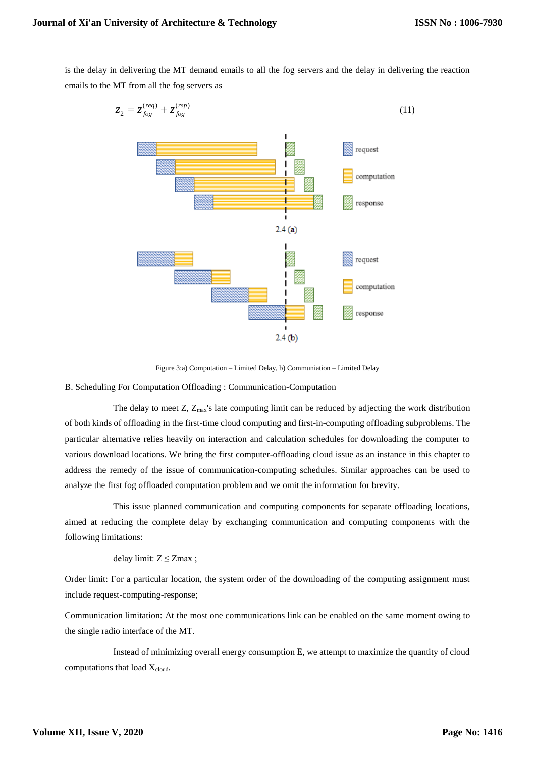$\mathcal{Z}_{2}$ 

is the delay in delivering the MT demand emails to all the fog servers and the delay in delivering the reaction emails to the MT from all the fog servers as

$$
z_{2} = z_{fog}^{(req)} + z_{fog}^{(rep)}
$$
(11)

Figure 3:a) Computation – Limited Delay, b) Communiation – Limited Delay

B. Scheduling For Computation Offloading : Communication-Computation

The delay to meet  $Z$ ,  $Z_{\text{max}}$ 's late computing limit can be reduced by adjecting the work distribution of both kinds of offloading in the first-time cloud computing and first-in-computing offloading subproblems. The particular alternative relies heavily on interaction and calculation schedules for downloading the computer to various download locations. We bring the first computer-offloading cloud issue as an instance in this chapter to address the remedy of the issue of communication-computing schedules. Similar approaches can be used to analyze the first fog offloaded computation problem and we omit the information for brevity.

This issue planned communication and computing components for separate offloading locations, aimed at reducing the complete delay by exchanging communication and computing components with the following limitations:

delay limit:  $Z \leq Z$ max ;

Order limit: For a particular location, the system order of the downloading of the computing assignment must include request-computing-response;

Communication limitation: At the most one communications link can be enabled on the same moment owing to the single radio interface of the MT.

Instead of minimizing overall energy consumption E, we attempt to maximize the quantity of cloud computations that load X<sub>cloud</sub>.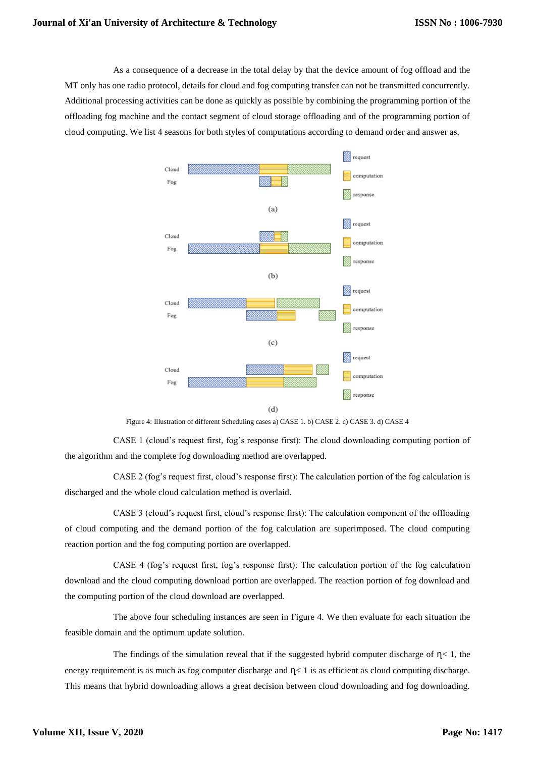As a consequence of a decrease in the total delay by that the device amount of fog offload and the MT only has one radio protocol, details for cloud and fog computing transfer can not be transmitted concurrently. Additional processing activities can be done as quickly as possible by combining the programming portion of the offloading fog machine and the contact segment of cloud storage offloading and of the programming portion of cloud computing. We list 4 seasons for both styles of computations according to demand order and answer as,



Figure 4: Illustration of different Scheduling cases a) CASE 1. b) CASE 2. c) CASE 3. d) CASE 4

CASE 1 (cloud's request first, fog's response first): The cloud downloading computing portion of the algorithm and the complete fog downloading method are overlapped.

CASE 2 (fog's request first, cloud's response first): The calculation portion of the fog calculation is discharged and the whole cloud calculation method is overlaid.

CASE 3 (cloud's request first, cloud's response first): The calculation component of the offloading of cloud computing and the demand portion of the fog calculation are superimposed. The cloud computing reaction portion and the fog computing portion are overlapped.

CASE 4 (fog's request first, fog's response first): The calculation portion of the fog calculation download and the cloud computing download portion are overlapped. The reaction portion of fog download and the computing portion of the cloud download are overlapped.

The above four scheduling instances are seen in Figure 4. We then evaluate for each situation the feasible domain and the optimum update solution.

The findings of the simulation reveal that if the suggested hybrid computer discharge of  $\eta$  < 1, the energy requirement is as much as fog computer discharge and  $\eta$ < 1 is as efficient as cloud computing discharge. This means that hybrid downloading allows a great decision between cloud downloading and fog downloading.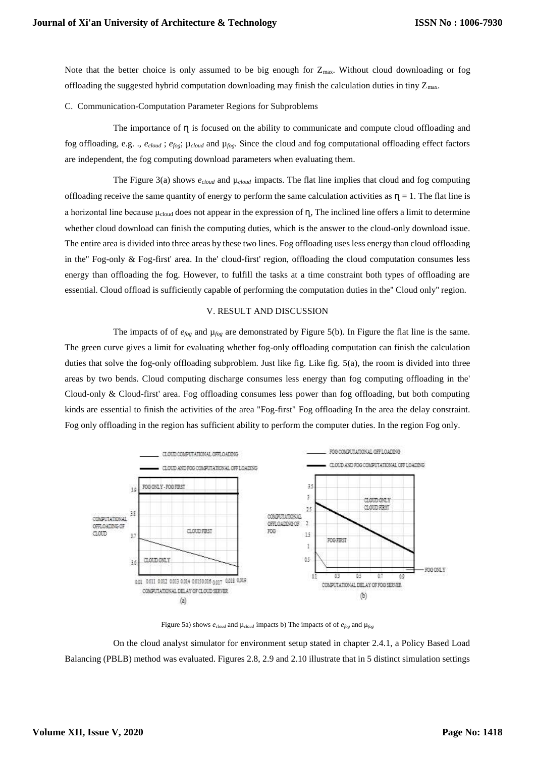Note that the better choice is only assumed to be big enough for  $Z_{\text{max}}$ . Without cloud downloading or fog offloading the suggested hybrid computation downloading may finish the calculation duties in tiny  $Z_{\text{max}}$ .

C. Communication-Computation Parameter Regions for Subproblems

The importance of  $\eta$  is focused on the ability to communicate and compute cloud offloading and fog offloading, e.g. ., *ecloud* ; *efog*; µ*cloud* and µ*fog*. Since the cloud and fog computational offloading effect factors are independent, the fog computing download parameters when evaluating them.

The Figure 3(a) shows  $e_{cloud}$  and  $\mu_{cloud}$  impacts. The flat line implies that cloud and fog computing offloading receive the same quantity of energy to perform the same calculation activities as  $\eta = 1$ . The flat line is a horizontal line because  $\mu_{cloud}$  does not appear in the expression of  $\eta$ , The inclined line offers a limit to determine whether cloud download can finish the computing duties, which is the answer to the cloud-only download issue. The entire area is divided into three areas by these two lines. Fog offloading uses less energy than cloud offloading in the'' Fog-only & Fog-first' area. In the' cloud-first' region, offloading the cloud computation consumes less energy than offloading the fog. However, to fulfill the tasks at a time constraint both types of offloading are essential. Cloud offload is sufficiently capable of performing the computation duties in the'' Cloud only'' region.

#### V. RESULT AND DISCUSSION

The impacts of of  $e_{fog}$  and  $\mu_{fog}$  are demonstrated by Figure 5(b). In Figure the flat line is the same. The green curve gives a limit for evaluating whether fog-only offloading computation can finish the calculation duties that solve the fog-only offloading subproblem. Just like fig. Like fig. 5(a), the room is divided into three areas by two bends. Cloud computing discharge consumes less energy than fog computing offloading in the' Cloud-only & Cloud-first' area. Fog offloading consumes less power than fog offloading, but both computing kinds are essential to finish the activities of the area "Fog-first" Fog offloading In the area the delay constraint. Fog only offloading in the region has sufficient ability to perform the computer duties. In the region Fog only.



Figure 5a) shows *ecloud* and µ*cloud* impacts b) The impacts of of *efog* and µ*fog*

On the cloud analyst simulator for environment setup stated in chapter 2.4.1, a Policy Based Load Balancing (PBLB) method was evaluated. Figures 2.8, 2.9 and 2.10 illustrate that in 5 distinct simulation settings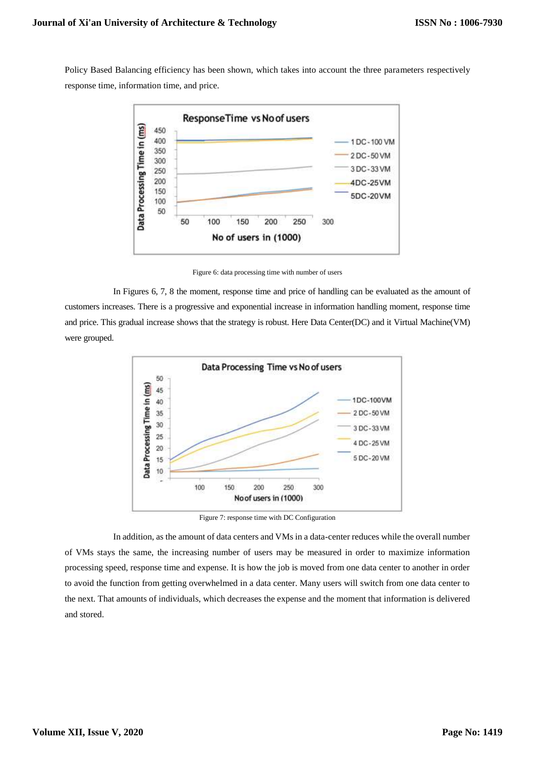Policy Based Balancing efficiency has been shown, which takes into account the three parameters respectively response time, information time, and price.



Figure 6: data processing time with number of users

In Figures 6, 7, 8 the moment, response time and price of handling can be evaluated as the amount of customers increases. There is a progressive and exponential increase in information handling moment, response time and price. This gradual increase shows that the strategy is robust. Here Data Center(DC) and it Virtual Machine(VM) were grouped.



Figure 7: response time with DC Configuration

In addition, as the amount of data centers and VMs in a data-center reduces while the overall number of VMs stays the same, the increasing number of users may be measured in order to maximize information processing speed, response time and expense. It is how the job is moved from one data center to another in order to avoid the function from getting overwhelmed in a data center. Many users will switch from one data center to the next. That amounts of individuals, which decreases the expense and the moment that information is delivered and stored.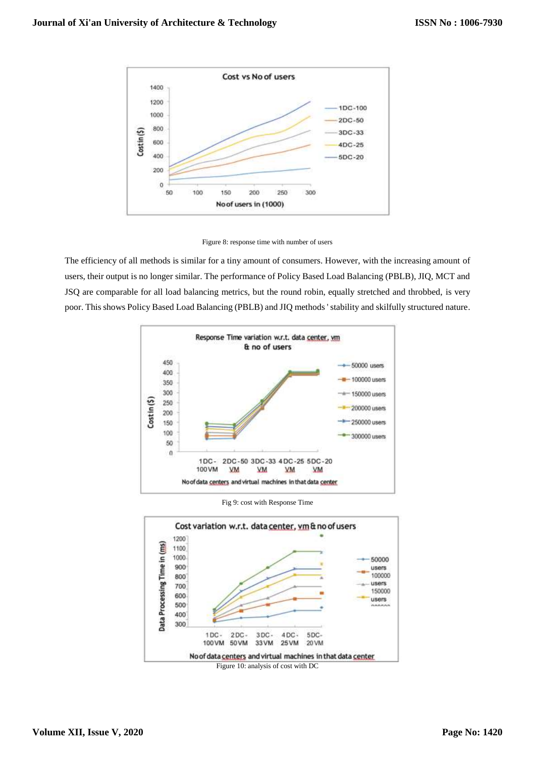

Figure 8: response time with number of users

The efficiency of all methods is similar for a tiny amount of consumers. However, with the increasing amount of users, their output is no longer similar. The performance of Policy Based Load Balancing (PBLB), JIQ, MCT and JSQ are comparable for all load balancing metrics, but the round robin, equally stretched and throbbed, is very poor. This shows Policy Based Load Balancing (PBLB) and JIQ methods ' stability and skilfully structured nature.



Fig 9: cost with Response Time

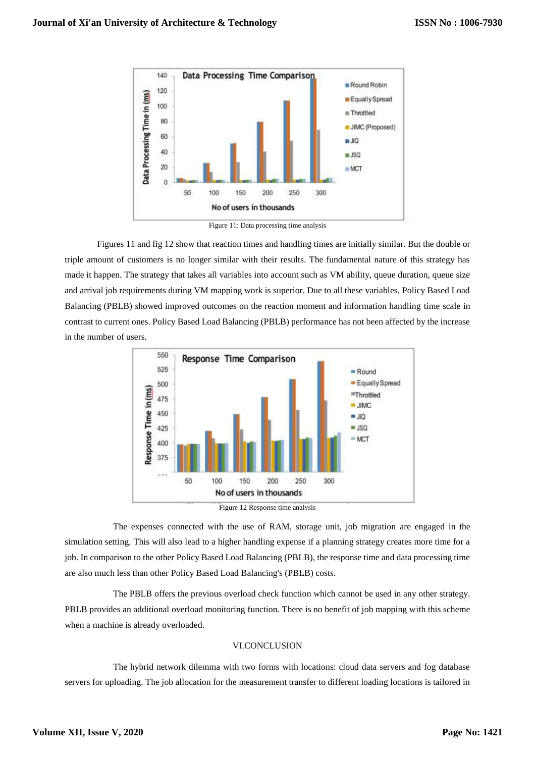

Figure 11: Data processing time analysis

Figures 11 and fig 12 show that reaction times and handling times are initially similar. But the double or triple amount of customers is no longer similar with their results. The fundamental nature of this strategy has made it happen. The strategy that takes all variables into account such as VM ability, queue duration, queue size and arrival job requirements during VM mapping work is superior. Due to all these variables, Policy Based Load Balancing (PBLB) showed improved outcomes on the reaction moment and information handling time scale in contrast to current ones. Policy Based Load Balancing (PBLB) performance has not been affected by the increase in the number of users.



Figure 12 Response time analysis

The expenses connected with the use of RAM, storage unit, job migration are engaged in the simulation setting. This will also lead to a higher handling expense if a planning strategy creates more time for a job. In comparison to the other Policy Based Load Balancing (PBLB), the response time and data processing time are also much less than other Policy Based Load Balancing's (PBLB) costs.

The PBLB offers the previous overload check function which cannot be used in any other strategy. PBLB provides an additional overload monitoring function. There is no benefit of job mapping with this scheme when a machine is already overloaded.

## VI.CONCLUSION

The hybrid network dilemma with two forms with locations: cloud data servers and fog database servers for uploading. The job allocation for the measurement transfer to different loading locations is tailored in